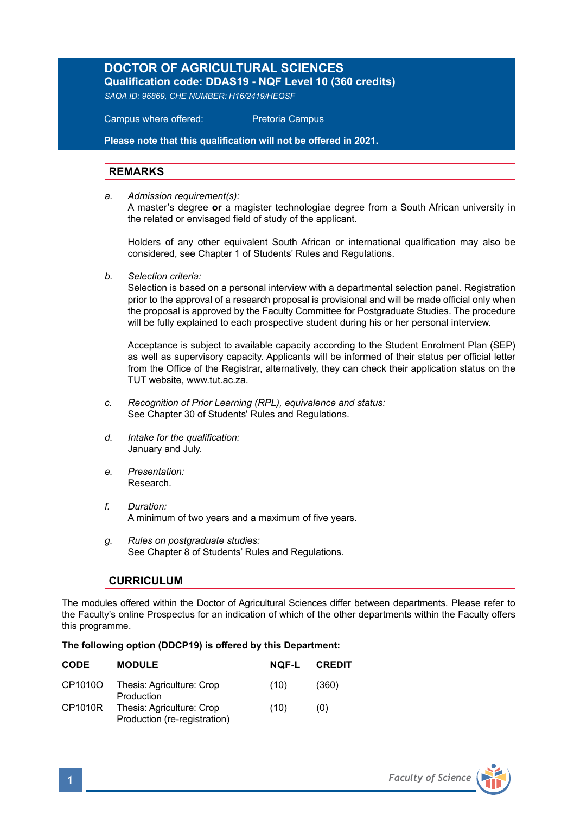## **DOCTOR OF AGRICULTURAL SCIENCES**

**Qualification code: DDAS19 - NQF Level 10 (360 credits)**  *SAQA ID: 96869, CHE NUMBER: H16/2419/HEQSF* 

Campus where offered: Pretoria Campus

**Please note that this qualification will not be offered in 2021.**

## **REMARKS**

*a. Admission requirement(s):* A master's degree **or** a magister technologiae degree from a South African university in the related or envisaged field of study of the applicant.

Holders of any other equivalent South African or international qualification may also be considered, see Chapter 1 of Students' Rules and Regulations.

*b. Selection criteria:*

Selection is based on a personal interview with a departmental selection panel. Registration prior to the approval of a research proposal is provisional and will be made official only when the proposal is approved by the Faculty Committee for Postgraduate Studies. The procedure will be fully explained to each prospective student during his or her personal interview.

Acceptance is subject to available capacity according to the Student Enrolment Plan (SEP) as well as supervisory capacity. Applicants will be informed of their status per official letter from the Office of the Registrar, alternatively, they can check their application status on the TUT website, www.tut.ac.za.

- *c. Recognition of Prior Learning (RPL), equivalence and status:* See Chapter 30 of Students' Rules and Regulations.
- *d. Intake for the qualification:* January and July.
- *e. Presentation:* Research.
- *f. Duration:*  A minimum of two years and a maximum of five years.
- *g. Rules on postgraduate studies:* See Chapter 8 of Students' Rules and Regulations.

## **CURRICULUM**

The modules offered within the Doctor of Agricultural Sciences differ between departments. Please refer to the Faculty's online Prospectus for an indication of which of the other departments within the Faculty offers this programme.

## **The following option (DDCP19) is offered by this Department:**

| <b>CODE</b> | <b>MODULE</b>                                             | <b>NOF-L</b> | <b>CREDIT</b> |
|-------------|-----------------------------------------------------------|--------------|---------------|
| CP1010O     | Thesis: Agriculture: Crop<br>Production                   | (10)         | (360)         |
| CP1010R     | Thesis: Agriculture: Crop<br>Production (re-registration) | (10)         | (0)           |